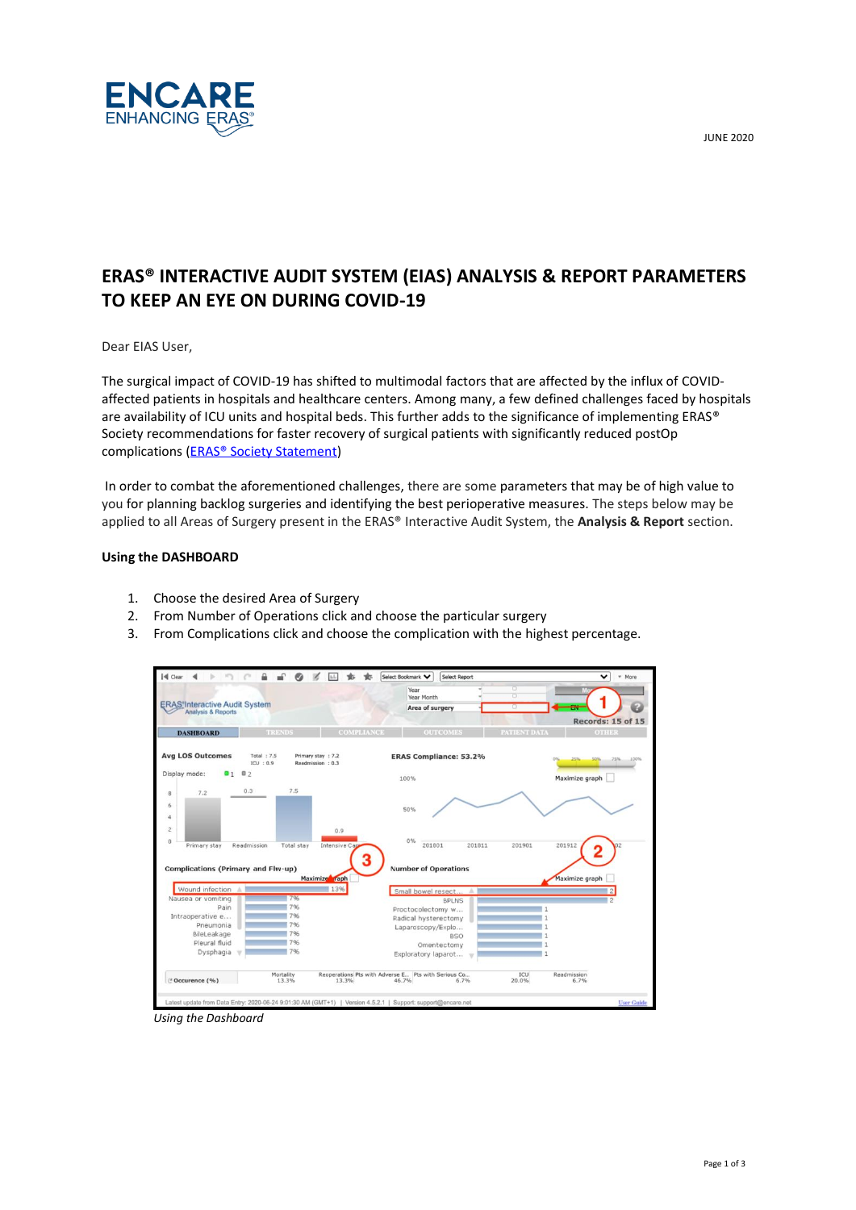JUNE 2020



# **ERAS® INTERACTIVE AUDIT SYSTEM (EIAS) ANALYSIS & REPORT PARAMETERS TO KEEP AN EYE ON DURING COVID-19**

Dear EIAS User,

The surgical impact of COVID-19 has shifted to multimodal factors that are affected by the influx of COVIDaffected patients in hospitals and healthcare centers. Among many, a few defined challenges faced by hospitals are availability of ICU units and hospital beds. This further adds to the significance of implementing ERAS® Society recommendations for faster recovery of surgical patients with significantly reduced postOp complications [\(ERAS® Society Statement\)](https://erassociety.org/eras-executive-committee-statement-regarding-surgery-and-anaesthesia-during-the-covid-19-pandemic/)

In order to combat the aforementioned challenges, there are some parameters that may be of high value to you for planning backlog surgeries and identifying the best perioperative measures. The steps below may be applied to all Areas of Surgery present in the ERAS® Interactive Audit System, the **Analysis & Report** section.

## **Using the DASHBOARD**

- 1. Choose the desired Area of Surgery
- 2. From Number of Operations click and choose the particular surgery
- 3. From Complications click and choose the complication with the highest percentage.

|                                                                         |                           |                                         | Year<br>Year Month            | ō                   |                           |
|-------------------------------------------------------------------------|---------------------------|-----------------------------------------|-------------------------------|---------------------|---------------------------|
| <b>ERAS</b> Interactive Audit System<br>Analysis & Reports              |                           |                                         | Area of surgery               | Ω                   | ÷                         |
|                                                                         |                           |                                         |                               |                     | Records: 15 of 15         |
| <b>DASHBOARD</b>                                                        | <b>TRENDS</b>             | <b>COMPLIANCE</b>                       | <b>OUTCOMES</b>               | <b>PATTENT DATA</b> | <b>OTHER</b>              |
| <b>Avg LOS Outcomes</b>                                                 | Total: $7.5$<br>ICU: 0.9  | Primary stay : 7.2<br>Readmission : 0.3 | <b>ERAS Compliance: 53.2%</b> |                     | 25%<br>50%<br>75%<br>100% |
| Display mode:<br>01                                                     | 02                        |                                         | 100%                          |                     | Maximize graph            |
| 7.2<br>8                                                                | 7.5<br>0.3                |                                         |                               |                     |                           |
| 6                                                                       |                           |                                         | 50%                           |                     |                           |
| $\boldsymbol{d}$                                                        |                           |                                         |                               |                     |                           |
|                                                                         |                           |                                         |                               |                     |                           |
|                                                                         |                           | 0.9                                     |                               |                     |                           |
| $\overline{\mathbf{c}}$<br>$\bf{0}$<br>Primary stay                     | Readmission<br>Total stay | Intensive Cap                           | 0%<br>201801<br>201811        | 201901              | 201912                    |
|                                                                         |                           |                                         |                               |                     |                           |
|                                                                         |                           |                                         | <b>Number of Operations</b>   |                     |                           |
|                                                                         |                           | Maximize raph                           |                               |                     | Maximize graph            |
| Wound infection A                                                       |                           | 13%                                     | Small bowel resect<br>×       |                     |                           |
|                                                                         | 7%                        |                                         | <b>BPLNS</b>                  |                     |                           |
| Pain                                                                    | 796                       |                                         | Proctocolectomy w             |                     |                           |
| Intraoperative e                                                        | 796                       |                                         | Radical hysterectomy          |                     |                           |
| Pneumonia                                                               | 7%                        |                                         | Laparoscopy/Explo             |                     |                           |
| Complications (Primary and Flw-up)<br>Nausea or vomiting<br>BileLeakage | 796                       |                                         | <b>BSO</b>                    |                     |                           |
| Pleural fluid                                                           | 7%                        |                                         | Omentectomy                   |                     |                           |
| Dysphagia                                                               | 796                       |                                         | Exploratory laparot           |                     |                           |

*Using the Dashboard*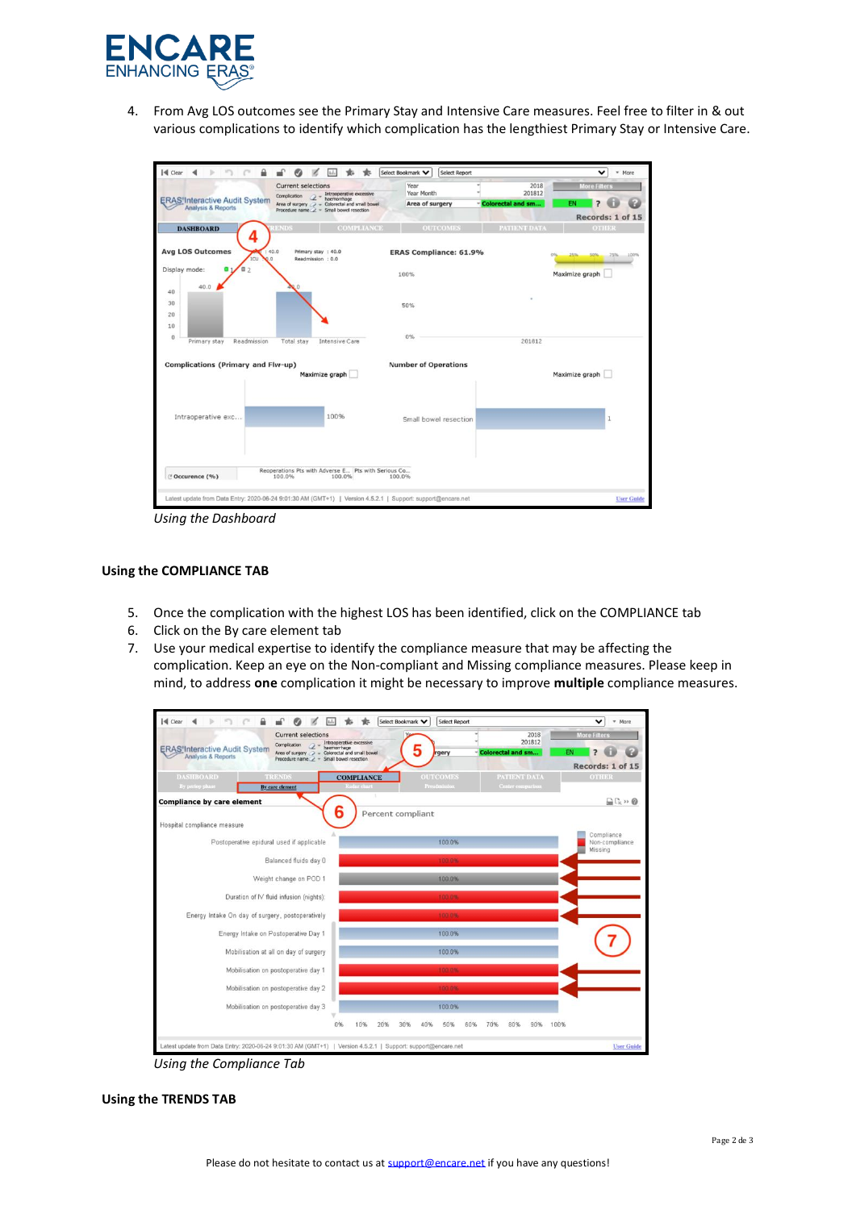

4. From Avg LOS outcomes see the Primary Stay and Intensive Care measures. Feel free to filter in & out various complications to identify which complication has the lengthiest Primary Stay or Intensive Care.



*Using the Dashboard*

#### **Using the COMPLIANCE TAB**

- 5. Once the complication with the highest LOS has been identified, click on the COMPLIANCE tab
- 6. Click on the By care element tab
- 7. Use your medical expertise to identify the compliance measure that may be affecting the complication. Keep an eye on the Non-compliant and Missing compliance measures. Please keep in mind, to address **one** complication it might be necessary to improve **multiple** compliance measures.



*Using the Compliance Tab*

## **Using the TRENDS TAB**